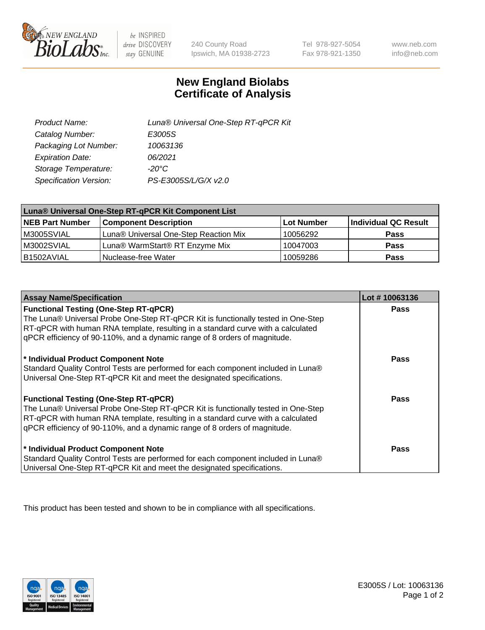

 $be$  INSPIRED drive DISCOVERY stay GENUINE

240 County Road Ipswich, MA 01938-2723

Tel 978-927-5054 Fax 978-921-1350

www.neb.com info@neb.com

## **New England Biolabs Certificate of Analysis**

| Product Name:           | Luna® Universal One-Step RT-qPCR Kit |
|-------------------------|--------------------------------------|
| Catalog Number:         | E3005S                               |
| Packaging Lot Number:   | 10063136                             |
| <b>Expiration Date:</b> | 06/2021                              |
| Storage Temperature:    | $-20^{\circ}$ C                      |
| Specification Version:  | PS-E3005S/L/G/X v2.0                 |

| Luna® Universal One-Step RT-qPCR Kit Component List |                                       |            |                      |  |
|-----------------------------------------------------|---------------------------------------|------------|----------------------|--|
| <b>NEB Part Number</b>                              | <b>Component Description</b>          | Lot Number | Individual QC Result |  |
| M3005SVIAL                                          | Luna® Universal One-Step Reaction Mix | 10056292   | <b>Pass</b>          |  |
| M3002SVIAL                                          | Luna® WarmStart® RT Enzyme Mix        | 10047003   | <b>Pass</b>          |  |
| B1502AVIAL                                          | Nuclease-free Water                   | 10059286   | <b>Pass</b>          |  |

| <b>Assay Name/Specification</b>                                                                                                                                                                                                                                                                    | Lot #10063136 |
|----------------------------------------------------------------------------------------------------------------------------------------------------------------------------------------------------------------------------------------------------------------------------------------------------|---------------|
| <b>Functional Testing (One-Step RT-qPCR)</b><br>The Luna® Universal Probe One-Step RT-qPCR Kit is functionally tested in One-Step                                                                                                                                                                  | <b>Pass</b>   |
| RT-qPCR with human RNA template, resulting in a standard curve with a calculated<br>qPCR efficiency of 90-110%, and a dynamic range of 8 orders of magnitude.                                                                                                                                      |               |
| <sup>*</sup> Individual Product Component Note<br>Standard Quality Control Tests are performed for each component included in Luna®<br>Universal One-Step RT-qPCR Kit and meet the designated specifications.                                                                                      | <b>Pass</b>   |
| <b>Functional Testing (One-Step RT-qPCR)</b><br>The Luna® Universal Probe One-Step RT-qPCR Kit is functionally tested in One-Step<br>RT-qPCR with human RNA template, resulting in a standard curve with a calculated<br>gPCR efficiency of 90-110%, and a dynamic range of 8 orders of magnitude. | <b>Pass</b>   |
| * Individual Product Component Note<br>Standard Quality Control Tests are performed for each component included in Luna®<br>Universal One-Step RT-qPCR Kit and meet the designated specifications.                                                                                                 | <b>Pass</b>   |

This product has been tested and shown to be in compliance with all specifications.